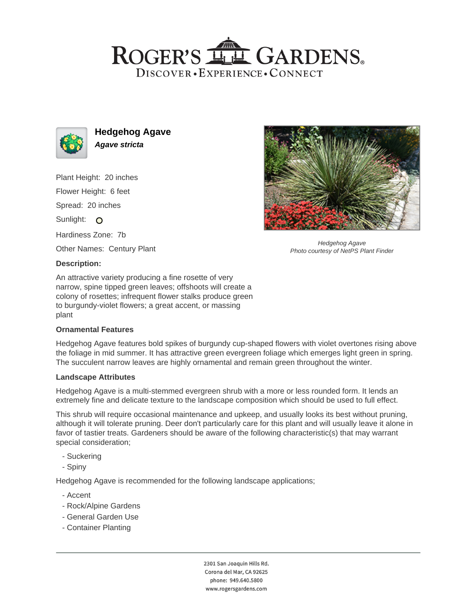## ROGER'S LL GARDENS. DISCOVER · EXPERIENCE · CONNECT



**Hedgehog Agave Agave stricta**

Plant Height: 20 inches Flower Height: 6 feet Spread: 20 inches Sunlight: O Hardiness Zone: 7b Other Names: Century Plant

#### **Description:**

An attractive variety producing a fine rosette of very narrow, spine tipped green leaves; offshoots will create a colony of rosettes; infrequent flower stalks produce green to burgundy-violet flowers; a great accent, or massing plant

#### **Ornamental Features**

Hedgehog Agave features bold spikes of burgundy cup-shaped flowers with violet overtones rising above the foliage in mid summer. It has attractive green evergreen foliage which emerges light green in spring. The succulent narrow leaves are highly ornamental and remain green throughout the winter.

#### **Landscape Attributes**

Hedgehog Agave is a multi-stemmed evergreen shrub with a more or less rounded form. It lends an extremely fine and delicate texture to the landscape composition which should be used to full effect.

This shrub will require occasional maintenance and upkeep, and usually looks its best without pruning, although it will tolerate pruning. Deer don't particularly care for this plant and will usually leave it alone in favor of tastier treats. Gardeners should be aware of the following characteristic(s) that may warrant special consideration;

- Suckering
- Spiny

Hedgehog Agave is recommended for the following landscape applications;

- Accent
- Rock/Alpine Gardens
- General Garden Use
- Container Planting



Hedgehog Agave Photo courtesy of NetPS Plant Finder

2301 San Joaquin Hills Rd. Corona del Mar, CA 92625 phone: 949.640.5800 www.rogersgardens.com